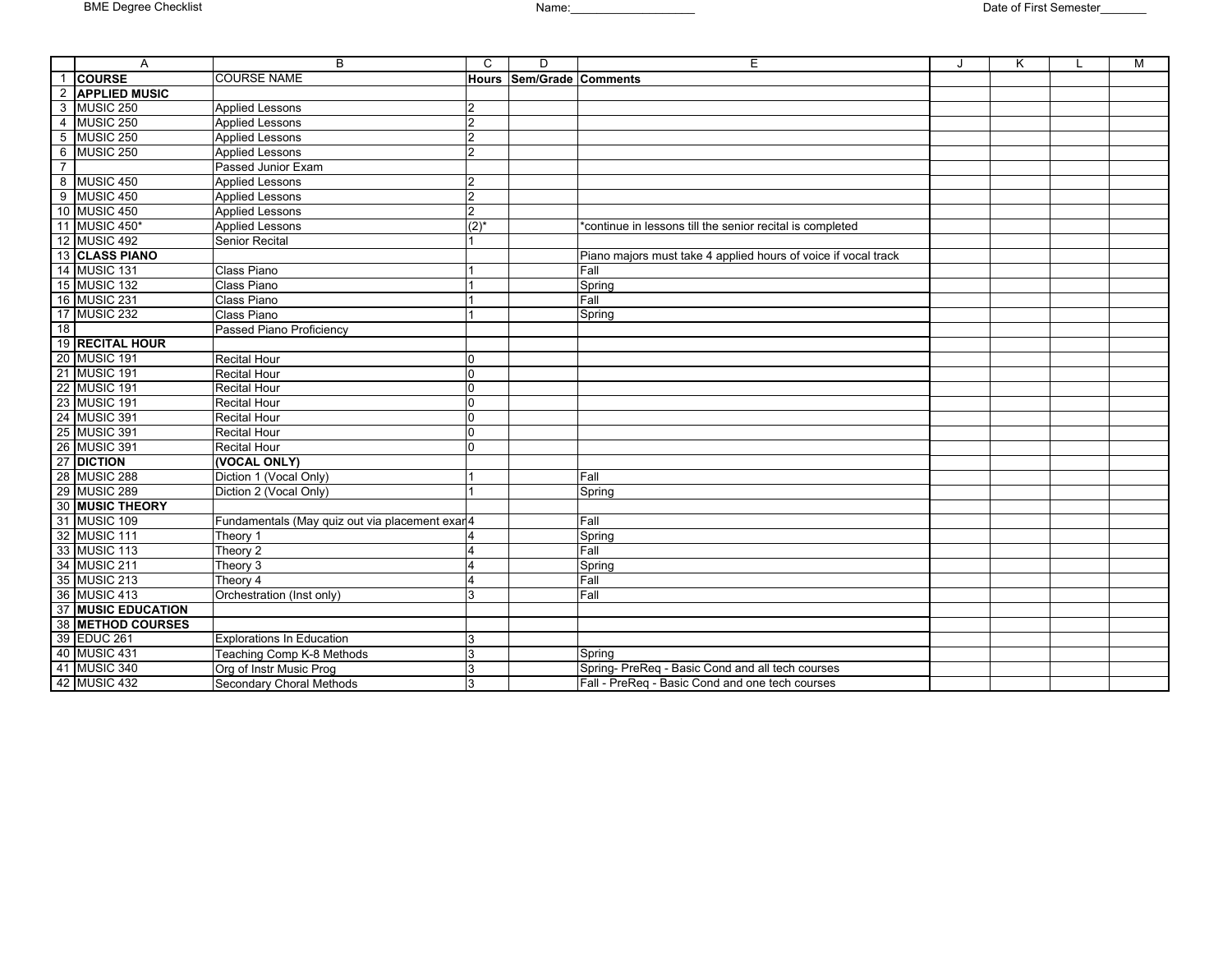|                 | A                        | B                                               | $\mathcal{C}$      | D                        | E                                                              | K | M |
|-----------------|--------------------------|-------------------------------------------------|--------------------|--------------------------|----------------------------------------------------------------|---|---|
|                 | 1 COURSE                 | <b>COURSE NAME</b>                              |                    | Hours Sem/Grade Comments |                                                                |   |   |
|                 | 2 APPLIED MUSIC          |                                                 |                    |                          |                                                                |   |   |
|                 | 3 MUSIC 250              | <b>Applied Lessons</b>                          | $\mathcal{P}$      |                          |                                                                |   |   |
|                 | 4 MUSIC 250              | <b>Applied Lessons</b>                          | $\overline{2}$     |                          |                                                                |   |   |
|                 | 5 MUSIC 250              | <b>Applied Lessons</b>                          | $\overline{2}$     |                          |                                                                |   |   |
|                 | 6 MUSIC 250              | <b>Applied Lessons</b>                          | $\overline{2}$     |                          |                                                                |   |   |
| $\overline{7}$  |                          | Passed Junior Exam                              |                    |                          |                                                                |   |   |
|                 | 8 MUSIC 450              | <b>Applied Lessons</b>                          | $\overline{2}$     |                          |                                                                |   |   |
|                 | 9 MUSIC 450              | <b>Applied Lessons</b>                          | $\overline{2}$     |                          |                                                                |   |   |
|                 | 10 MUSIC 450             | <b>Applied Lessons</b>                          | $\overline{2}$     |                          |                                                                |   |   |
|                 | 11 MUSIC 450*            | <b>Applied Lessons</b>                          | $(2)$ <sup>*</sup> |                          | *continue in lessons till the senior recital is completed      |   |   |
|                 | 12 MUSIC 492             | Senior Recital                                  |                    |                          |                                                                |   |   |
|                 | 13 CLASS PIANO           |                                                 |                    |                          | Piano majors must take 4 applied hours of voice if vocal track |   |   |
|                 | 14 MUSIC 131             | Class Piano                                     |                    |                          | Fall                                                           |   |   |
|                 | 15 MUSIC 132             | Class Piano                                     |                    |                          | Spring                                                         |   |   |
|                 | 16 MUSIC 231             | Class Piano                                     |                    |                          | Fall                                                           |   |   |
|                 | 17 MUSIC 232             | Class Piano                                     |                    |                          | Spring                                                         |   |   |
| 18 <sup>1</sup> |                          | Passed Piano Proficiency                        |                    |                          |                                                                |   |   |
|                 | 19 RECITAL HOUR          |                                                 |                    |                          |                                                                |   |   |
|                 | 20 MUSIC 191             | <b>Recital Hour</b>                             | 0                  |                          |                                                                |   |   |
|                 | 21 MUSIC 191             | <b>Recital Hour</b>                             | $\overline{0}$     |                          |                                                                |   |   |
|                 | 22 MUSIC 191             | <b>Recital Hour</b>                             | $\overline{0}$     |                          |                                                                |   |   |
|                 | 23 MUSIC 191             | <b>Recital Hour</b>                             | 0                  |                          |                                                                |   |   |
|                 | 24 MUSIC 391             | <b>Recital Hour</b>                             | $\Omega$           |                          |                                                                |   |   |
|                 | 25 MUSIC 391             | <b>Recital Hour</b>                             | $\overline{0}$     |                          |                                                                |   |   |
|                 | 26 MUSIC 391             | <b>Recital Hour</b>                             | $\overline{0}$     |                          |                                                                |   |   |
|                 | 27 DICTION               | (VOCAL ONLY)                                    |                    |                          |                                                                |   |   |
|                 | 28 MUSIC 288             | Diction 1 (Vocal Only)                          |                    |                          | Fall                                                           |   |   |
|                 | 29 MUSIC 289             | Diction 2 (Vocal Only)                          |                    |                          | Spring                                                         |   |   |
|                 | 30 MUSIC THEORY          |                                                 |                    |                          |                                                                |   |   |
|                 | 31 MUSIC 109             | Fundamentals (May quiz out via placement exar 4 |                    |                          | Fall                                                           |   |   |
|                 | 32 MUSIC 111             | Theory 1                                        |                    |                          | Spring                                                         |   |   |
|                 | 33 MUSIC 113             | Theory 2                                        |                    |                          | Fall                                                           |   |   |
|                 | 34 MUSIC 211             | Theory 3                                        |                    |                          | Spring                                                         |   |   |
|                 | 35 MUSIC 213             | Theory 4                                        |                    |                          | Fall                                                           |   |   |
|                 | 36 MUSIC 413             | Orchestration (Inst only)                       | 3                  |                          | Fall                                                           |   |   |
|                 | 37 MUSIC EDUCATION       |                                                 |                    |                          |                                                                |   |   |
|                 | <b>38 METHOD COURSES</b> |                                                 |                    |                          |                                                                |   |   |
|                 | 39 EDUC 261              | <b>Explorations In Education</b>                | 3                  |                          |                                                                |   |   |
|                 | 40 MUSIC 431             | Teaching Comp K-8 Methods                       | 3                  |                          | Spring                                                         |   |   |
|                 | 41 MUSIC 340             | Org of Instr Music Prog                         | 3                  |                          | Spring- PreReq - Basic Cond and all tech courses               |   |   |
|                 | 42 MUSIC 432             | <b>Secondary Choral Methods</b>                 | 3                  |                          | Fall - PreReq - Basic Cond and one tech courses                |   |   |